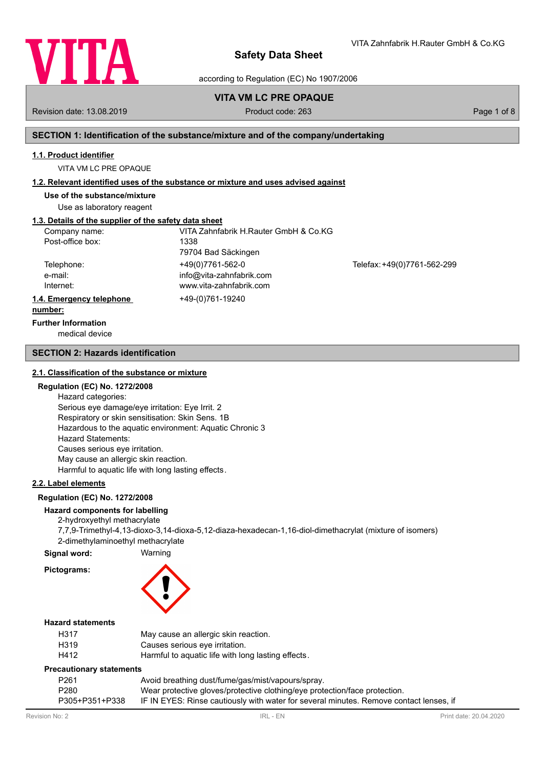

according to Regulation (EC) No 1907/2006

## **VITA VM LC PRE OPAQUE**

Revision date: 13.08.2019 Product code: 263 Page 1 of 8

VITA Zahnfabrik H.Rauter GmbH & Co.KG

### **SECTION 1: Identification of the substance/mixture and of the company/undertaking**

#### **1.1. Product identifier**

VITA VM LC PRE OPAQUE

#### **1.2. Relevant identified uses of the substance or mixture and uses advised against**

**Use of the substance/mixture**

Use as laboratory reagent

### **1.3. Details of the supplier of the safety data sheet**

| Company name:            | VITA Zahnfabrik H.Rauter GmbH & Co.KG |                             |
|--------------------------|---------------------------------------|-----------------------------|
| Post-office box:         | 1338                                  |                             |
|                          | 79704 Bad Säckingen                   |                             |
| Telephone:               | +49(0)7761-562-0                      | Telefax: +49(0)7761-562-299 |
| e-mail:                  | info@vita-zahnfabrik.com              |                             |
| Internet:                | www.vita-zahnfabrik.com               |                             |
| 1.4. Emergency telephone | +49-(0)761-19240                      |                             |
| number:                  |                                       |                             |

medical device **Further Information**

#### **SECTION 2: Hazards identification**

#### **2.1. Classification of the substance or mixture**

### **Regulation (EC) No. 1272/2008**

Hazard categories: Serious eye damage/eye irritation: Eye Irrit. 2 Respiratory or skin sensitisation: Skin Sens. 1B Hazardous to the aquatic environment: Aquatic Chronic 3 Hazard Statements: Causes serious eye irritation. May cause an allergic skin reaction. Harmful to aquatic life with long lasting effects.

### **2.2. Label elements**

#### **Regulation (EC) No. 1272/2008**

### **Hazard components for labelling**

2-hydroxyethyl methacrylate 7,7,9-Trimethyl-4,13-dioxo-3,14-dioxa-5,12-diaza-hexadecan-1,16-diol-dimethacrylat (mixture of isomers) 2-dimethylaminoethyl methacrylate

**Signal word:** Warning

### **Pictograms:**



### **Hazard statements**

| H317 | May cause an allergic skin reaction.               |
|------|----------------------------------------------------|
| H319 | Causes serious eye irritation.                     |
| H412 | Harmful to aquatic life with long lasting effects. |

#### **Precautionary statements**

| P261           | Avoid breathing dust/fume/gas/mist/vapours/spray.                                      |
|----------------|----------------------------------------------------------------------------------------|
| P280           | Wear protective gloves/protective clothing/eye protection/face protection.             |
| P305+P351+P338 | IF IN EYES: Rinse cautiously with water for several minutes. Remove contact lenses, if |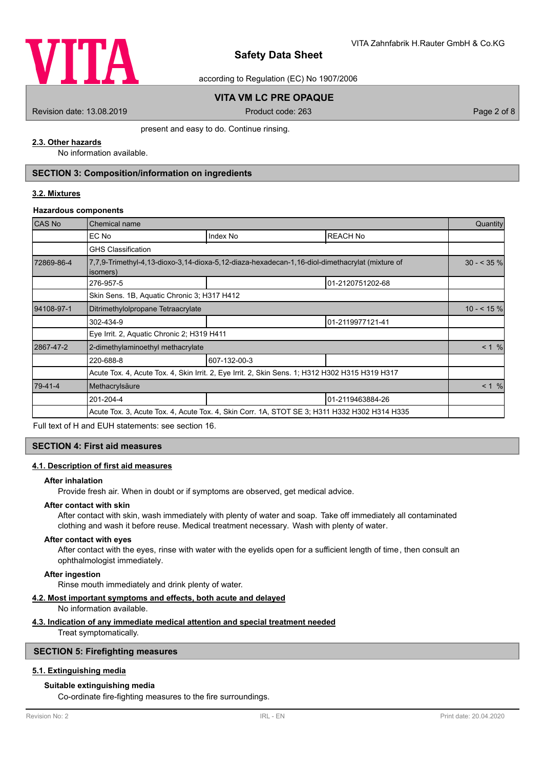

according to Regulation (EC) No 1907/2006

### **VITA VM LC PRE OPAQUE**

Revision date: 13.08.2019 Product code: 263 Page 2 of 8

present and easy to do. Continue rinsing.

### **2.3. Other hazards**

No information available.

### **SECTION 3: Composition/information on ingredients**

### **3.2. Mixtures**

#### **Hazardous components**

| <b>CAS No</b> | Chemical name                                                                                              |                                                                                                 |                  |       |  |
|---------------|------------------------------------------------------------------------------------------------------------|-------------------------------------------------------------------------------------------------|------------------|-------|--|
|               | EC No                                                                                                      | Index No                                                                                        | <b>REACH No</b>  |       |  |
|               | <b>GHS Classification</b>                                                                                  |                                                                                                 |                  |       |  |
| 72869-86-4    | 7,7,9-Trimethyl-4,13-dioxo-3,14-dioxa-5,12-diaza-hexadecan-1,16-diol-dimethacrylat (mixture of<br>isomers) |                                                                                                 |                  |       |  |
|               | 276-957-5                                                                                                  |                                                                                                 | 01-2120751202-68 |       |  |
|               | Skin Sens. 1B, Aguatic Chronic 3; H317 H412                                                                |                                                                                                 |                  |       |  |
| 94108-97-1    | Ditrimethylolpropane Tetraacrylate                                                                         |                                                                                                 |                  |       |  |
|               | 302-434-9                                                                                                  |                                                                                                 | 01-2119977121-41 |       |  |
|               | Eye Irrit. 2, Aquatic Chronic 2; H319 H411                                                                 |                                                                                                 |                  |       |  |
| 2867-47-2     | 2-dimethylaminoethyl methacrylate                                                                          |                                                                                                 |                  | < 1 % |  |
|               | 220-688-8                                                                                                  | 607-132-00-3                                                                                    |                  |       |  |
|               |                                                                                                            | Acute Tox. 4, Acute Tox. 4, Skin Irrit. 2, Eye Irrit. 2, Skin Sens. 1; H312 H302 H315 H319 H317 |                  |       |  |
| 79-41-4       | Methacrylsäure                                                                                             | < 1 %                                                                                           |                  |       |  |
|               | 201-204-4                                                                                                  |                                                                                                 | 01-2119463884-26 |       |  |
|               | Acute Tox. 3, Acute Tox. 4, Acute Tox. 4, Skin Corr. 1A, STOT SE 3; H311 H332 H302 H314 H335               |                                                                                                 |                  |       |  |

Full text of H and EUH statements: see section 16.

#### **SECTION 4: First aid measures**

#### **4.1. Description of first aid measures**

#### **After inhalation**

Provide fresh air. When in doubt or if symptoms are observed, get medical advice.

### **After contact with skin**

After contact with skin, wash immediately with plenty of water and soap. Take off immediately all contaminated clothing and wash it before reuse. Medical treatment necessary. Wash with plenty of water.

#### **After contact with eyes**

After contact with the eyes, rinse with water with the eyelids open for a sufficient length of time, then consult an ophthalmologist immediately.

#### **After ingestion**

Rinse mouth immediately and drink plenty of water.

#### **4.2. Most important symptoms and effects, both acute and delayed**

No information available.

#### **4.3. Indication of any immediate medical attention and special treatment needed**

Treat symptomatically.

### **SECTION 5: Firefighting measures**

### **5.1. Extinguishing media**

### **Suitable extinguishing media**

Co-ordinate fire-fighting measures to the fire surroundings.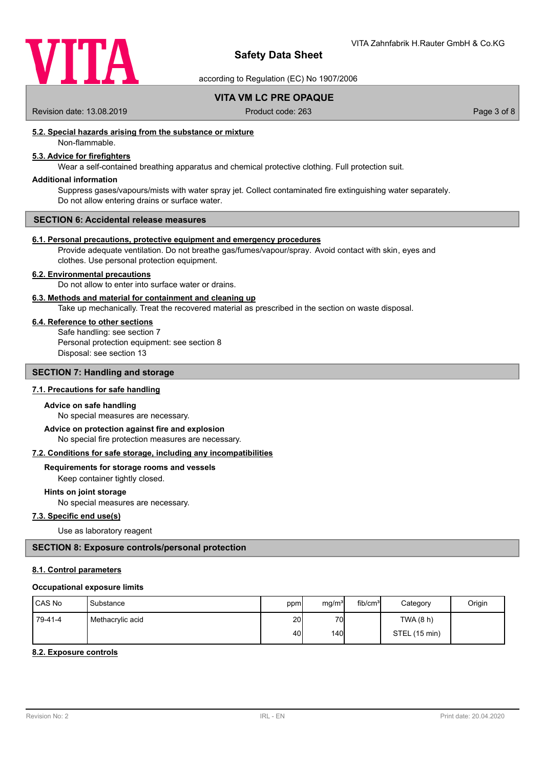

according to Regulation (EC) No 1907/2006

**VITA VM LC PRE OPAQUE**

Revision date: 13.08.2019 <br>
Product code: 263 Page 3 of 8

### **5.2. Special hazards arising from the substance or mixture**

Non-flammable.

### **5.3. Advice for firefighters**

Wear a self-contained breathing apparatus and chemical protective clothing. Full protection suit.

### **Additional information**

Suppress gases/vapours/mists with water spray jet. Collect contaminated fire extinguishing water separately. Do not allow entering drains or surface water.

#### **SECTION 6: Accidental release measures**

#### **6.1. Personal precautions, protective equipment and emergency procedures**

Provide adequate ventilation. Do not breathe gas/fumes/vapour/spray. Avoid contact with skin, eyes and clothes. Use personal protection equipment.

#### **6.2. Environmental precautions**

Do not allow to enter into surface water or drains.

#### **6.3. Methods and material for containment and cleaning up**

Take up mechanically. Treat the recovered material as prescribed in the section on waste disposal.

#### **6.4. Reference to other sections**

Safe handling: see section 7 Personal protection equipment: see section 8 Disposal: see section 13

### **SECTION 7: Handling and storage**

### **7.1. Precautions for safe handling**

#### **Advice on safe handling**

No special measures are necessary.

No special fire protection measures are necessary. **Advice on protection against fire and explosion**

#### **7.2. Conditions for safe storage, including any incompatibilities**

### **Requirements for storage rooms and vessels**

Keep container tightly closed.

### **Hints on joint storage**

No special measures are necessary.

### **7.3. Specific end use(s)**

Use as laboratory reagent

### **SECTION 8: Exposure controls/personal protection**

#### **8.1. Control parameters**

#### **Occupational exposure limits**

| <b>ICAS No</b> | Substance        | ppm             | mg/m <sup>3</sup> | fib/cm <sup>3</sup> | Category      | Origin |
|----------------|------------------|-----------------|-------------------|---------------------|---------------|--------|
| 79-41-4        | Methacrylic acid | 20 <sub>l</sub> | 70                |                     | TWA (8 h)     |        |
|                |                  | 40              | 140 <b>I</b>      |                     | STEL (15 min) |        |

#### **8.2. Exposure controls**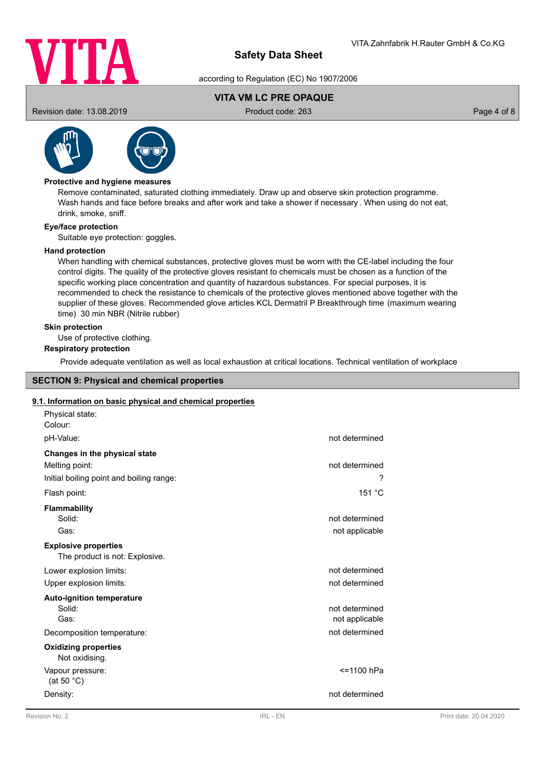

according to Regulation (EC) No 1907/2006

### **VITA VM LC PRE OPAQUE**

Revision date: 13.08.2019 Product code: 263 Page 4 of 8



### **Protective and hygiene measures**

Remove contaminated, saturated clothing immediately. Draw up and observe skin protection programme. Wash hands and face before breaks and after work and take a shower if necessary . When using do not eat, drink, smoke, sniff.

### **Eye/face protection**

Suitable eye protection: goggles.

### **Hand protection**

When handling with chemical substances, protective gloves must be worn with the CE-label including the four control digits. The quality of the protective gloves resistant to chemicals must be chosen as a function of the specific working place concentration and quantity of hazardous substances. For special purposes, it is recommended to check the resistance to chemicals of the protective gloves mentioned above together with the supplier of these gloves. Recommended glove articles KCL Dermatril P Breakthrough time (maximum wearing time) 30 min NBR (Nitrile rubber)

### **Skin protection**

Use of protective clothing.

## **Respiratory protection**

Provide adequate ventilation as well as local exhaustion at critical locations. Technical ventilation of workplace

### **SECTION 9: Physical and chemical properties**

### **9.1. Information on basic physical and chemical properties**

| Physical state:<br>Colour:                                    |                |
|---------------------------------------------------------------|----------------|
| pH-Value:                                                     | not determined |
| Changes in the physical state                                 |                |
| Melting point:                                                | not determined |
| Initial boiling point and boiling range:                      | ?              |
| Flash point:                                                  | 151 °C         |
| Flammability                                                  |                |
| Solid:                                                        | not determined |
| Gas:                                                          | not applicable |
| <b>Explosive properties</b><br>The product is not: Explosive. |                |
| Lower explosion limits:                                       | not determined |
| Upper explosion limits:                                       | not determined |
| <b>Auto-ignition temperature</b>                              |                |
| Solid:                                                        | not determined |
| Gas:                                                          | not applicable |
| Decomposition temperature:                                    | not determined |
| <b>Oxidizing properties</b><br>Not oxidising.                 |                |
| Vapour pressure:<br>(at 50 $^{\circ}$ C)                      | <=1100 hPa     |
| Density:                                                      | not determined |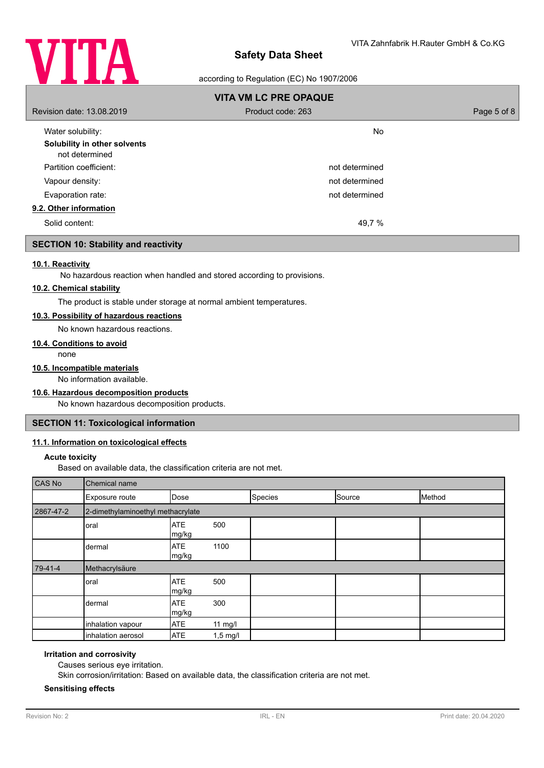

### according to Regulation (EC) No 1907/2006

| <b>VITA VM LC PRE OPAQUE</b>                   |                   |             |
|------------------------------------------------|-------------------|-------------|
| Revision date: 13.08.2019                      | Product code: 263 | Page 5 of 8 |
| Water solubility:                              | No                |             |
| Solubility in other solvents<br>not determined |                   |             |
| Partition coefficient:                         | not determined    |             |
| Vapour density:                                | not determined    |             |
| Evaporation rate:                              | not determined    |             |
| 9.2. Other information                         |                   |             |
| Solid content:                                 | 49,7 %            |             |

### **SECTION 10: Stability and reactivity**

### **10.1. Reactivity**

No hazardous reaction when handled and stored according to provisions.

#### **10.2. Chemical stability**

The product is stable under storage at normal ambient temperatures.

### **10.3. Possibility of hazardous reactions**

No known hazardous reactions.

#### **10.4. Conditions to avoid**

none

#### **10.5. Incompatible materials**

No information available.

### **10.6. Hazardous decomposition products**

No known hazardous decomposition products.

### **SECTION 11: Toxicological information**

### **11.1. Information on toxicological effects**

#### **Acute toxicity**

Based on available data, the classification criteria are not met.

| CAS No    | Chemical name                     |                     |            |         |        |        |
|-----------|-----------------------------------|---------------------|------------|---------|--------|--------|
|           | Exposure route                    | Dose                |            | Species | Source | Method |
| 2867-47-2 | 2-dimethylaminoethyl methacrylate |                     |            |         |        |        |
|           | oral                              | <b>ATE</b><br>mg/kg | 500        |         |        |        |
|           | dermal                            | <b>ATE</b><br>mg/kg | 1100       |         |        |        |
| $79-41-4$ | Methacrylsäure                    |                     |            |         |        |        |
|           | oral                              | <b>ATE</b><br>mg/kg | 500        |         |        |        |
|           | dermal                            | <b>ATE</b><br>mg/kg | 300        |         |        |        |
|           | inhalation vapour                 | <b>ATE</b>          | $11$ mg/l  |         |        |        |
|           | inhalation aerosol                | <b>ATE</b>          | $1,5$ mg/l |         |        |        |

#### **Irritation and corrosivity**

Causes serious eye irritation.

Skin corrosion/irritation: Based on available data, the classification criteria are not met.

#### **Sensitising effects**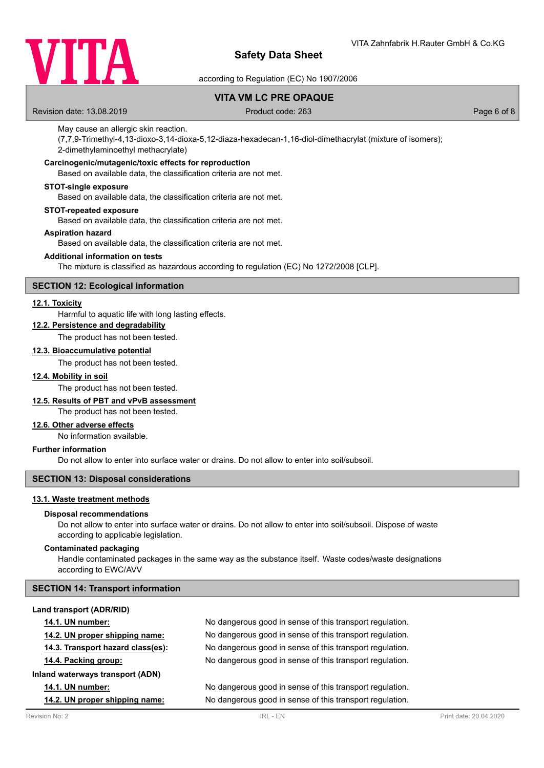

according to Regulation (EC) No 1907/2006

### **VITA VM LC PRE OPAQUE**

Revision date: 13.08.2019 Product code: 263 Page 6 of 8

#### May cause an allergic skin reaction.

(7,7,9-Trimethyl-4,13-dioxo-3,14-dioxa-5,12-diaza-hexadecan-1,16-diol-dimethacrylat (mixture of isomers); 2-dimethylaminoethyl methacrylate)

### **Carcinogenic/mutagenic/toxic effects for reproduction**

Based on available data, the classification criteria are not met.

#### **STOT-single exposure**

Based on available data, the classification criteria are not met.

#### **STOT-repeated exposure**

Based on available data, the classification criteria are not met.

#### **Aspiration hazard**

Based on available data, the classification criteria are not met.

#### **Additional information on tests**

The mixture is classified as hazardous according to regulation (EC) No 1272/2008 [CLP].

### **SECTION 12: Ecological information**

#### **12.1. Toxicity**

Harmful to aquatic life with long lasting effects.

### **12.2. Persistence and degradability**

The product has not been tested.

### **12.3. Bioaccumulative potential**

The product has not been tested.

#### **12.4. Mobility in soil**

The product has not been tested.

### **12.5. Results of PBT and vPvB assessment**

The product has not been tested.

### **12.6. Other adverse effects**

No information available.

### **Further information**

Do not allow to enter into surface water or drains. Do not allow to enter into soil/subsoil.

### **SECTION 13: Disposal considerations**

### **13.1. Waste treatment methods**

#### **Disposal recommendations**

Do not allow to enter into surface water or drains. Do not allow to enter into soil/subsoil. Dispose of waste according to applicable legislation.

#### **Contaminated packaging**

Handle contaminated packages in the same way as the substance itself. Waste codes/waste designations according to EWC/AVV

#### **SECTION 14: Transport information**

| Land transport (ADR/RID)          |                                                          |
|-----------------------------------|----------------------------------------------------------|
| <b>14.1. UN number:</b>           | No dangerous good in sense of this transport regulation. |
| 14.2. UN proper shipping name:    | No dangerous good in sense of this transport regulation. |
| 14.3. Transport hazard class(es): | No dangerous good in sense of this transport regulation. |
| 14.4. Packing group:              | No dangerous good in sense of this transport regulation. |
| Inland waterways transport (ADN)  |                                                          |
| <b>14.1. UN number:</b>           | No dangerous good in sense of this transport regulation. |
| 14.2. UN proper shipping name:    | No dangerous good in sense of this transport regulation. |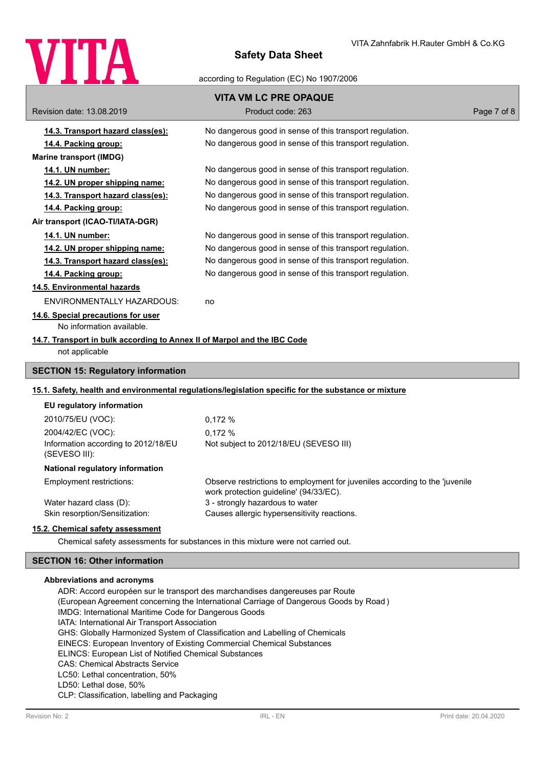

according to Regulation (EC) No 1907/2006

|                                                                          | <b>VITA VM LC PRE OPAQUE</b>                                                                                          |             |
|--------------------------------------------------------------------------|-----------------------------------------------------------------------------------------------------------------------|-------------|
| Revision date: 13.08.2019                                                | Product code: 263                                                                                                     | Page 7 of 8 |
| <u>14.3. Transport hazard class(es):</u>                                 | No dangerous good in sense of this transport regulation.                                                              |             |
| 14.4. Packing group:                                                     | No dangerous good in sense of this transport regulation.                                                              |             |
| <b>Marine transport (IMDG)</b>                                           |                                                                                                                       |             |
| 14.1. UN number:                                                         | No dangerous good in sense of this transport regulation.                                                              |             |
| <u>14.2. UN proper shipping name:</u>                                    | No dangerous good in sense of this transport regulation.                                                              |             |
| 14.3. Transport hazard class(es):                                        | No dangerous good in sense of this transport regulation.                                                              |             |
| 14.4. Packing group:                                                     | No dangerous good in sense of this transport regulation.                                                              |             |
| Air transport (ICAO-TI/IATA-DGR)                                         |                                                                                                                       |             |
| 14.1. UN number:                                                         | No dangerous good in sense of this transport regulation.                                                              |             |
| 14.2. UN proper shipping name:                                           | No dangerous good in sense of this transport regulation.                                                              |             |
| 14.3. Transport hazard class(es):                                        | No dangerous good in sense of this transport regulation.                                                              |             |
| 14.4. Packing group:                                                     | No dangerous good in sense of this transport regulation.                                                              |             |
| <b>14.5. Environmental hazards</b>                                       |                                                                                                                       |             |
| ENVIRONMENTALLY HAZARDOUS:                                               | no                                                                                                                    |             |
| 14.6. Special precautions for user                                       |                                                                                                                       |             |
| No information available.                                                |                                                                                                                       |             |
| 14.7. Transport in bulk according to Annex II of Marpol and the IBC Code |                                                                                                                       |             |
| not applicable                                                           |                                                                                                                       |             |
| <b>SECTION 15: Regulatory information</b>                                |                                                                                                                       |             |
|                                                                          | 15.1. Safety, health and environmental regulations/legislation specific for the substance or mixture                  |             |
| EU regulatory information                                                |                                                                                                                       |             |
| 2010/75/EU (VOC):                                                        | 0,172%                                                                                                                |             |
| 2004/42/EC (VOC):                                                        | 0.172%                                                                                                                |             |
| Information according to 2012/18/EU<br>(SEVESO III):                     | Not subject to 2012/18/EU (SEVESO III)                                                                                |             |
| National regulatory information                                          |                                                                                                                       |             |
| Employment restrictions:                                                 | Observe restrictions to employment for juveniles according to the 'juvenile<br>work protection guideline' (94/33/EC). |             |
| Water hazard class (D):                                                  | 3 - strongly hazardous to water                                                                                       |             |
| Skin resorption/Sensitization:                                           | Causes allergic hypersensitivity reactions.                                                                           |             |
| 15.2. Chemical safety assessment                                         | Chemical safety assessments for substances in this mixture were not carried out.                                      |             |

# **SECTION 16: Other information**

### **Abbreviations and acronyms**

ADR: Accord européen sur le transport des marchandises dangereuses par Route (European Agreement concerning the International Carriage of Dangerous Goods by Road ) IMDG: International Maritime Code for Dangerous Goods IATA: International Air Transport Association GHS: Globally Harmonized System of Classification and Labelling of Chemicals EINECS: European Inventory of Existing Commercial Chemical Substances ELINCS: European List of Notified Chemical Substances CAS: Chemical Abstracts Service LC50: Lethal concentration, 50% LD50: Lethal dose, 50% CLP: Classification, labelling and Packaging